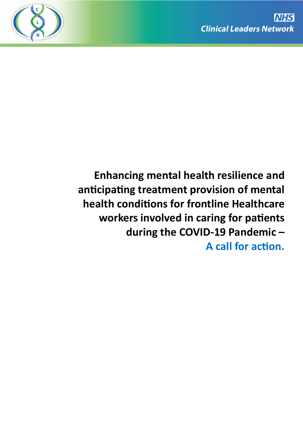

**Enhancing mental health resilience and**  anticipating treatment provision of mental **health conditions for frontline Healthcare** workers involved in caring for patients **during the COVID-19 Pandemic – A call for action.**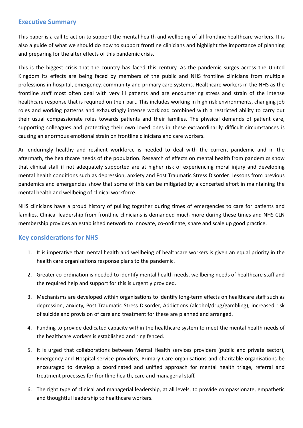# **Executive Summary**

This paper is a call to action to support the mental health and wellbeing of all frontline healthcare workers. It is also a guide of what we should do now to support frontline clinicians and highlight the importance of planning and preparing for the after effects of this pandemic crisis.

This is the biggest crisis that the country has faced this century. As the pandemic surges across the United Kingdom its effects are being faced by members of the public and NHS frontline clinicians from multiple professions in hospital, emergency, community and primary care systems. Healthcare workers in the NHS as the frontline staff most often deal with very ill patients and are encountering stress and strain of the intense healthcare response that is required on their part. This includes working in high risk environments, changing job roles and working patterns and exhaustingly intense workload combined with a restricted ability to carry out their usual compassionate roles towards patients and their families. The physical demands of patient care, supporting colleagues and protecting their own loved ones in these extraordinarily difficult circumstances is causing an enormous emotional strain on frontline clinicians and care workers.

An enduringly healthy and resilient workforce is needed to deal with the current pandemic and in the aftermath, the healthcare needs of the population. Research of effects on mental health from pandemics show that clinical staff if not adequately supported are at higher risk of experiencing moral injury and developing mental health conditions such as depression, anxiety and Post Traumatic Stress Disorder. Lessons from previous pandemics and emergencies show that some of this can be mitigated by a concerted effort in maintaining the mental health and wellbeing of clinical workforce.

NHS clinicians have a proud history of pulling together during times of emergencies to care for patients and families. Clinical leadership from frontline clinicians is demanded much more during these times and NHS CLN membership provides an established network to innovate, co-ordinate, share and scale up good practice.

# **Key considerations for NHS**

- 1. It is imperative that mental health and wellbeing of healthcare workers is given an equal priority in the health care organisations response plans to the pandemic.
- 2. Greater co-ordination is needed to identify mental health needs, wellbeing needs of healthcare staff and the required help and support for this is urgently provided.
- 3. Mechanisms are developed within organisations to identify long-term effects on healthcare staff such as depression, anxiety, Post Traumatic Stress Disorder, Addictions (alcohol/drug/gambling), increased risk of suicide and provision of care and treatment for these are planned and arranged.
- 4. Funding to provide dedicated capacity within the healthcare system to meet the mental health needs of the healthcare workers is established and ring fenced.
- 5. It is urged that collaborations between Mental Health services providers (public and private sector), Emergency and Hospital service providers, Primary Care organisations and charitable organisations be encouraged to develop a coordinated and unified approach for mental health triage, referral and treatment processes for frontline health, care and managerial staff.
- 6. The right type of clinical and managerial leadership, at all levels, to provide compassionate, empathetic and thoughtful leadership to healthcare workers.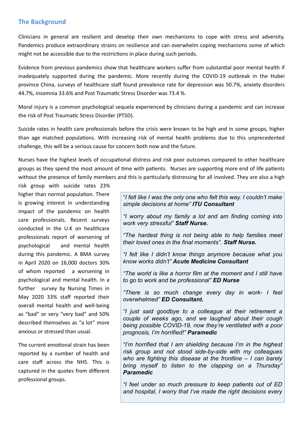# **The Background**

Clinicians in general are resilient and develop their own mechanisms to cope with stress and adversity. Pandemics produce extraordinary strains on resilience and can overwhelm coping mechanisms some of which might not be accessible due to the restrictions in place during such periods.

Evidence from previous pandemics show that healthcare workers suffer from substantial poor mental health if inadequately supported during the pandemic. More recently during the COVID-19 outbreak in the Hubei province China, surveys of healthcare staff found prevalence rate for depression was 50.7%, anxiety disorders 44.7%, insomnia 33.6% and Post Traumatic Stress Disorder was 73.4 %.

Moral injury is a common psychological sequela experienced by clinicians during a pandemic and can increase the risk of Post Traumatic Stress Disorder (PTSD).

Suicide rates in health care professionals before the crisis were known to be high and in some groups, higher than age matched populations. With increasing risk of mental health problems due to this unprecedented challenge, this will be a serious cause for concern both now and the future.

Nurses have the highest levels of occupational distress and risk poor outcomes compared to other healthcare groups as they spend the most amount of time with patients. Nurses are supporting more end of life patients without the presence of family members and this is particularly distressing for all involved. They are also a high

risk group with suicide rates 23% higher than normal population. There is growing interest in understanding impact of the pandemic on health care professionals. Recent surveys conducted in the U.K on healthcare professionals report of worsening of psychological and mental health during this pandemic. A BMA survey in April 2020 on 16,000 doctors 30% of whom reported a worsening in psychological and mental health. In a further survey by Nursing Times in May 2020 33% staff reported their overall mental health and well-being as "bad" or very "very bad" and 50% described themselves as "a lot" more anxious or stressed than usual.

The current emotional strain has been reported by a number of health and care staff across the NHS. This is captured in the quotes from different professional groups.

"*I felt like I was the only one who felt this way. I couldn't make simple decisions at home" ITU Consultant*

*"I worry about my family a lot and am finding coming into work very stressful" Staff Nurse.*

*"The hardest thing is not being able to help families meet their loved ones in the final moments". Staff Nurse.*

*"I felt like I didn't know things anymore because what you know works didn't" Acute Medicine Consultant*

*"The world is like a horror film at the moment and I still have to go to work and be professional" ED Nurse* 

*"There is so much change every day in work- I feel overwhelmed" ED Consultant.* 

*"I just said goodbye to a colleague at their retirement a couple of weeks ago, and we laughed about their cough being possible COVID-19, now they're ventilated with a poor prognosis, I'm horrified!" Paramedic*

*"I'm horrified that I am shielding because I'm in the highest risk group and not stood side-by-side with my colleagues who are fighting this disease at the frontline – I can barely bring myself to listen to the clapping on a Thursday" Paramedic*

*"I feel under so much pressure to keep patients out of ED and hospital, I worry that I've made the right decisions every*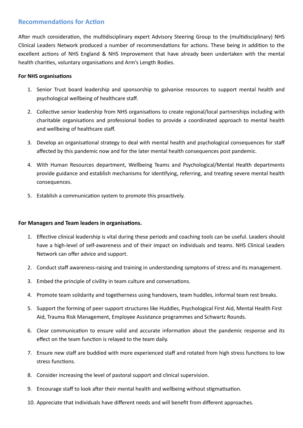# **Recommendations for Action**

After much consideration, the multidisciplinary expert Advisory Steering Group to the (multidisciplinary) NHS Clinical Leaders Network produced a number of recommendations for actions. These being in addition to the excellent actions of NHS England & NHS Improvement that have already been undertaken with the mental health charities, voluntary organisations and Arm's Length Bodies.

#### **For NHS organisations**

- 1. Senior Trust board leadership and sponsorship to galvanise resources to support mental health and psychological wellbeing of healthcare staff.
- 2. Collective senior leadership from NHS organisations to create regional/local partnerships including with charitable organisations and professional bodies to provide a coordinated approach to mental health and wellbeing of healthcare staff.
- 3. Develop an organisational strategy to deal with mental health and psychological consequences for staff affected by this pandemic now and for the later mental health consequences post pandemic.
- 4. With Human Resources department, Wellbeing Teams and Psychological/Mental Health departments provide guidance and establish mechanisms for identifying, referring, and treating severe mental health consequences.
- 5. Establish a communication system to promote this proactively.

## **For Managers and Team leaders in organisations.**

- 1. Effective clinical leadership is vital during these periods and coaching tools can be useful. Leaders should have a high-level of self-awareness and of their impact on individuals and teams. NHS Clinical Leaders Network can offer advice and support.
- 2. Conduct staff awareness-raising and training in understanding symptoms of stress and its management.
- 3. Embed the principle of civility in team culture and conversations.
- 4. Promote team solidarity and togetherness using handovers, team huddles, informal team rest breaks.
- 5. Support the forming of peer support structures like Huddles, Psychological First Aid, Mental Health First Aid, Trauma Risk Management, Employee Assistance programmes and Schwartz Rounds.
- 6. Clear communication to ensure valid and accurate information about the pandemic response and its effect on the team function is relayed to the team daily.
- 7. Ensure new staff are buddied with more experienced staff and rotated from high stress functions to low stress functions.
- 8. Consider increasing the level of pastoral support and clinical supervision.
- 9. Encourage staff to look after their mental health and wellbeing without stigmatisation.
- 10. Appreciate that individuals have different needs and will benefit from different approaches.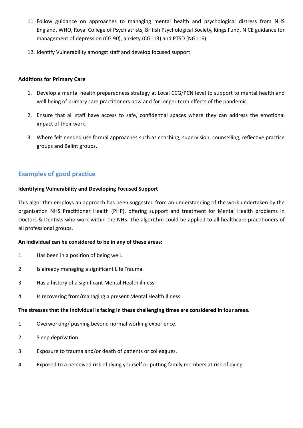- 11. Follow guidance on approaches to managing mental health and psychological distress from NHS England, WHO, Royal College of Psychiatrists, British Psychological Society, Kings Fund, NICE guidance for management of depression (CG 90), anxiety (CG113) and PTSD (NG116).
- 12. Identify Vulnerability amongst staff and develop focused support.

#### **Additions for Primary Care**

- 1. Develop a mental health preparedness strategy at Local CCG/PCN level to support to mental health and well being of primary care practitioners now and for longer term effects of the pandemic.
- 2. Ensure that all staff have access to safe, confidential spaces where they can address the emotional impact of their work.
- 3. Where felt needed use formal approaches such as coaching, supervision, counselling, reflective practice groups and Balint groups.

# **Examples of good practice**

#### **Identifying Vulnerability and Developing Focused Support**

This algorithm employs an approach has been suggested from an understanding of the work undertaken by the organisation NHS Practitioner Health (PHP), offering support and treatment for Mental Health problems in Doctors & Dentists who work within the NHS. The algorithm could be applied to all healthcare practitioners of all professional groups.

#### **An individual can be considered to be in any of these areas:**

- 1. Has been in a position of being well.
- 2. Is already managing a significant Life Trauma.
- 3. Has a history of a significant Mental Health illness.
- 4. Is recovering from/managing a present Mental Health Illness.

#### The stresses that the individual is facing in these challenging times are considered in four areas.

- 1. Overworking/ pushing beyond normal working experience.
- 2. Sleep deprivation.
- 3. Exposure to trauma and/or death of patients or colleagues.
- 4. Exposed to a perceived risk of dying yourself or putting family members at risk of dying.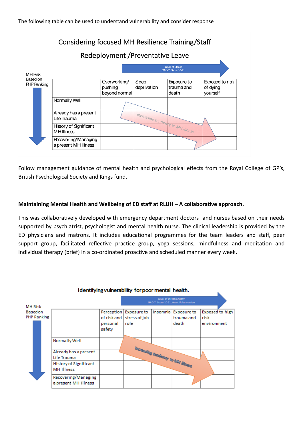# Considering focused MH Resilience Training/Staff

#### Redeployment / Preventative Leave Level of Stress<br>GAD-7 Score 10-21 **MH Risk** Based on Overworking/ Seep Exposure to Exposed to risk PHP Ranking pushing deprivation trauma and of dving bevond normal death vourself Normally Well Increasing tendency to MH Illness Already has a present Life Trauma **History of Sgnificant MH** Illness **Recovering/Managing** a present MH Illness

Follow management guidance of mental health and psychological effects from the Royal College of GP's, British Psychological Society and Kings fund.

### Maintaining Mental Health and Wellbeing of ED staff at RLUH - A collaborative approach.

This was collaboratively developed with emergency department doctors and nurses based on their needs supported by psychiatrist, psychologist and mental health nurse. The clinical leadership is provided by the ED physicians and matrons. It includes educational programmes for the team leaders and staff, peer support group, facilitated reflective practice group, yoga sessions, mindfulness and meditation and individual therapy (brief) in a co-ordinated proactive and scheduled manner every week.

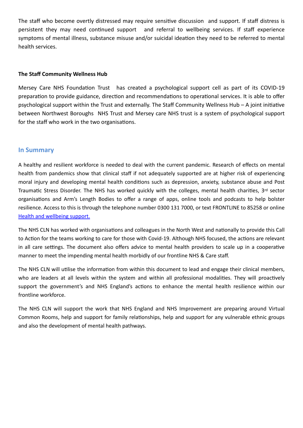The staff who become overtly distressed may require sensitive discussion and support. If staff distress is persistent they may need continued support and referral to wellbeing services. If staff experience symptoms of mental illness, substance misuse and/or suicidal ideation they need to be referred to mental health services.

### **The Staff Community Wellness Hub**

Mersey Care NHS Foundation Trust has created a psychological support cell as part of its COVID-19 preparation to provide guidance, direction and recommendations to operational services. It is able to offer psychological support within the Trust and externally. The Staff Community Wellness Hub  $-$  A joint initiative between Northwest Boroughs NHS Trust and Mersey care NHS trust is a system of psychological support for the staff who work in the two organisations.

### **In Summary**

A healthy and resilient workforce is needed to deal with the current pandemic. Research of effects on mental health from pandemics show that clinical staff if not adequately supported are at higher risk of experiencing moral injury and developing mental health conditions such as depression, anxiety, substance abuse and Post Traumatic Stress Disorder. The NHS has worked quickly with the colleges, mental health charities, 3rd sector organisations and Arm's Length Bodies to offer a range of apps, online tools and podcasts to help bolster resilience. Access to this is through the telephone number 0300 131 7000, or text FRONTLINE to 85258 or online [Health and wellbeing support.](https://nshcs.hee.nhs.uk/coronavirus-covid-19-information/health-wellbeing-support/) 

The NHS CLN has worked with organisations and colleagues in the North West and nationally to provide this Call to Action for the teams working to care for those with Covid-19. Although NHS focused, the actions are relevant in all care settings. The document also offers advice to mental health providers to scale up in a cooperative manner to meet the impending mental health morbidly of our frontline NHS & Care staff.

The NHS CLN will utilise the information from within this document to lead and engage their clinical members, who are leaders at all levels within the system and within all professional modalities. They will proactively support the government's and NHS England's actions to enhance the mental health resilience within our frontline workforce.

The NHS CLN will support the work that NHS England and NHS Improvement are preparing around Virtual Common Rooms, help and support for family relationships, help and support for any vulnerable ethnic groups and also the development of mental health pathways.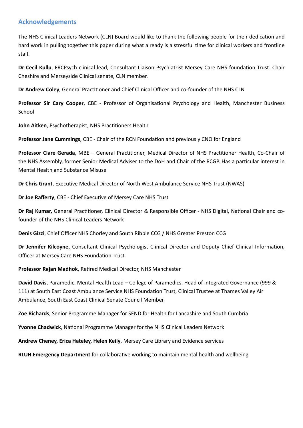# **Acknowledgements**

The NHS Clinical Leaders Network (CLN) Board would like to thank the following people for their dedication and hard work in pulling together this paper during what already is a stressful time for clinical workers and frontline staff.

**Dr Cecil Kullu**, FRCPsych clinical lead, Consultant Liaison Psychiatrist Mersey Care NHS foundation Trust. Chair Cheshire and Merseyside Clinical senate, CLN member.

**Dr Andrew Coley**, General Practitioner and Chief Clinical Officer and co-founder of the NHS CLN

**Professor Sir Cary Cooper**, CBE - Professor of Organisational Psychology and Health, Manchester Business School

**John Aitken**, Psychotherapist, NHS Practitioners Health

**Professor Jane Cummings, CBE - Chair of the RCN Foundation and previously CNO for England** 

Professor Clare Gerada, MBE - General Practitioner, Medical Director of NHS Practitioner Health, Co-Chair of the NHS Assembly, former Senior Medical Adviser to the DoH and Chair of the RCGP. Has a particular interest in Mental Health and Substance Misuse

**Dr Chris Grant**, Executive Medical Director of North West Ambulance Service NHS Trust (NWAS)

**Dr Joe Rafferty**, CBE - Chief Executive of Mersey Care NHS Trust

**Dr Raj Kumar,** General Practitioner, Clinical Director & Responsible Officer - NHS Digital, National Chair and cofounder of the NHS Clinical Leaders Network

**Denis Gizzi**, Chief Officer NHS Chorley and South Ribble CCG / NHS Greater Preston CCG

**Dr Jennifer Kilcoyne,** Consultant Clinical Psychologist Clinical Director and Deputy Chief Clinical Information, Officer at Mersey Care NHS Foundation Trust

Professor Rajan Madhok, Retired Medical Director, NHS Manchester

**David Davis**, Paramedic, Mental Health Lead – College of Paramedics, Head of Integrated Governance (999 & 111) at South East Coast Ambulance Service NHS Foundation Trust, Clinical Trustee at Thames Valley Air Ambulance, South East Coast Clinical Senate Council Member

**Zoe Richards**, Senior Programme Manager for SEND for Health for Lancashire and South Cumbria

**Yvonne Chadwick**, National Programme Manager for the NHS Clinical Leaders Network

**Andrew Cheney, Erica Hateley, Helen Keily**, Mersey Care Library and Evidence services

**RLUH Emergency Department** for collaborative working to maintain mental health and wellbeing